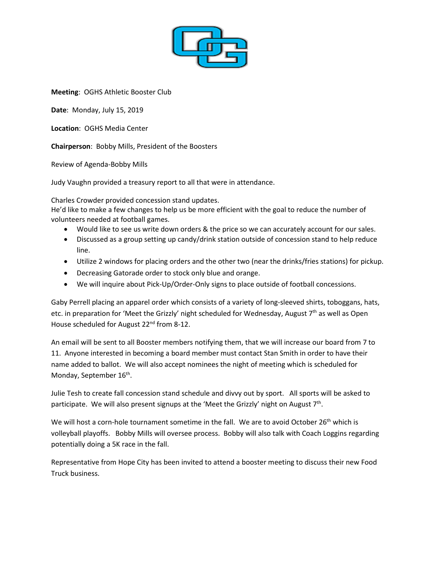

**Meeting**: OGHS Athletic Booster Club

**Date**: Monday, July 15, 2019

**Location**: OGHS Media Center

**Chairperson**: Bobby Mills, President of the Boosters

Review of Agenda-Bobby Mills

Judy Vaughn provided a treasury report to all that were in attendance.

Charles Crowder provided concession stand updates.

He'd like to make a few changes to help us be more efficient with the goal to reduce the number of volunteers needed at football games.

- Would like to see us write down orders & the price so we can accurately account for our sales.
- Discussed as a group setting up candy/drink station outside of concession stand to help reduce line.
- Utilize 2 windows for placing orders and the other two (near the drinks/fries stations) for pickup.
- Decreasing Gatorade order to stock only blue and orange.
- We will inquire about Pick-Up/Order-Only signs to place outside of football concessions.

Gaby Perrell placing an apparel order which consists of a variety of long-sleeved shirts, toboggans, hats, etc. in preparation for 'Meet the Grizzly' night scheduled for Wednesday, August 7<sup>th</sup> as well as Open House scheduled for August 22<sup>nd</sup> from 8-12.

An email will be sent to all Booster members notifying them, that we will increase our board from 7 to 11. Anyone interested in becoming a board member must contact Stan Smith in order to have their name added to ballot. We will also accept nominees the night of meeting which is scheduled for Monday, September 16<sup>th</sup>.

Julie Tesh to create fall concession stand schedule and divvy out by sport. All sports will be asked to participate. We will also present signups at the 'Meet the Grizzly' night on August 7<sup>th</sup>.

We will host a corn-hole tournament sometime in the fall. We are to avoid October 26<sup>th</sup> which is volleyball playoffs. Bobby Mills will oversee process. Bobby will also talk with Coach Loggins regarding potentially doing a 5K race in the fall.

Representative from Hope City has been invited to attend a booster meeting to discuss their new Food Truck business.